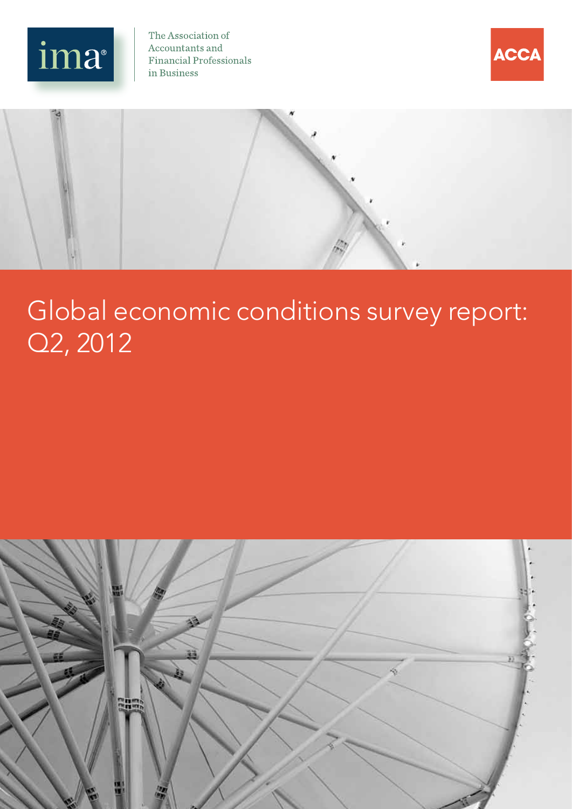

The Association of Accountants and **Financial Professionals** in Business





# Global economic conditions survey report: Q2, 2012

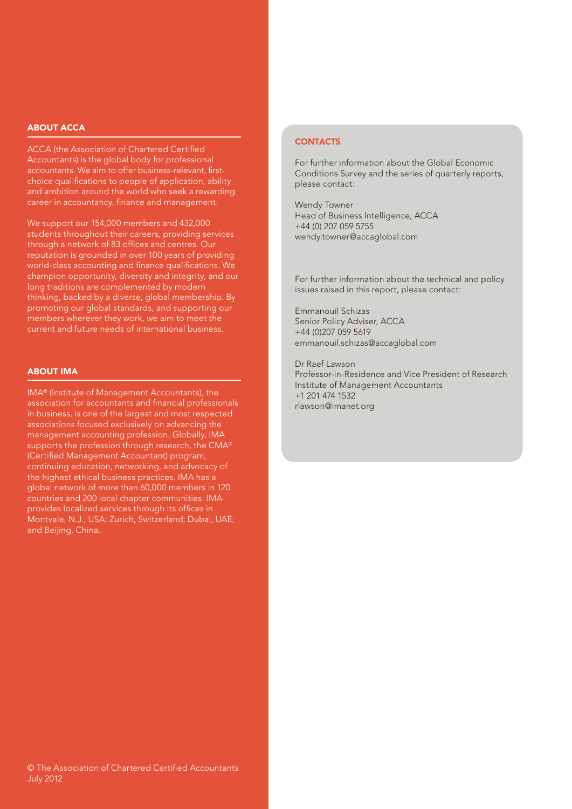#### ABOUT ACCA

ACCA (the Association of Chartered Certified Accountants) is the global body for professional accountants. We aim to offer business-relevant, firstchoice qualifications to people of application, ability and ambition around the world who seek a rewarding career in accountancy, finance and management.

We support our 154,000 members and 432,000 students throughout their careers, providing services through a network of 83 offices and centres. Our reputation is grounded in over 100 years of providing world-class accounting and finance qualifications. We champion opportunity, diversity and integrity, and our long traditions are complemented by modern thinking, backed by a diverse, global membership. By promoting our global standards, and supporting our members wherever they work, we aim to meet the current and future needs of international business.

#### ABOUT IMA

IMA® (Institute of Management Accountants), the association for accountants and financial professionals in business, is one of the largest and most respected associations focused exclusively on advancing the management accounting profession. Globally, IMA supports the profession through research, the CMA® (Certified Management Accountant) program, continuing education, networking, and advocacy of the highest ethical business practices. IMA has a global network of more than 60,000 members in 120 countries and 200 local chapter communities. IMA provides localized services through its offices in Montvale, N.J., USA; Zurich, Switzerland; Dubai, UAE; and Beijing, China.

#### **CONTACTS**

For further information about the Global Economic Conditions Survey and the series of quarterly reports, please contact:

Wendy Towner Head of Business Intelligence, ACCA +44 (0) 207 059 5755 wendy.towner@accaglobal.com

For further information about the technical and policy issues raised in this report, please contact:

Emmanouil Schizas Senior Policy Adviser, ACCA +44 (0)207 059 5619 emmanouil.schizas@accaglobal.com

Dr Raef Lawson Professor-in-Residence and Vice President of Research Institute of Management Accountants +1 201 474 1532 rlawson@imanet.org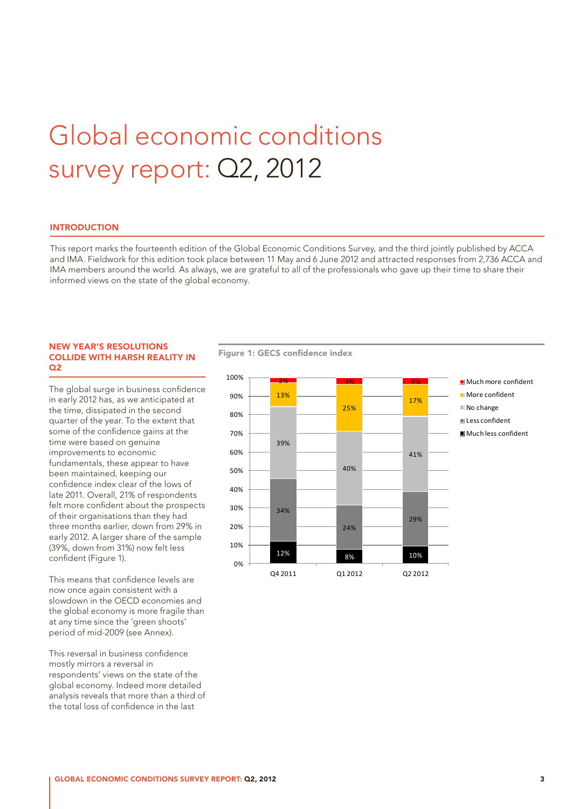# Global economic conditions survey report: Q2, 2012

#### INTRODUCTION

This report marks the fourteenth edition of the Global Economic Conditions Survey, and the third jointly published by ACCA and IMA. Fieldwork for this edition took place between 11 May and 6 June 2012 and attracted responses from 2,736 ACCA and IMA members around the world. As always, we are grateful to all of the professionals who gave up their time to share their informed views on the state of the global economy.

#### NEW YEAR'S RESOLUTIONS COLLIDE WITH HARSH REALITY IN  $O<sub>2</sub>$

The global surge in business confidence in early 2012 has, as we anticipated at the time, dissipated in the second quarter of the year. To the extent that some of the confidence gains at the time were based on genuine improvements to economic fundamentals, these appear to have been maintained, keeping our confidence index clear of the lows of late 2011. Overall, 21% of respondents felt more confident about the prospects of their organisations than they had three months earlier, down from 29% in early 2012. A larger share of the sample (39%, down from 31%) now felt less confident (Figure 1).

This means that confidence levels are now once again consistent with a slowdown in the OECD economies and the global economy is more fragile than at any time since the 'green shoots' period of mid-2009 (see Annex).

This reversal in business confidence mostly mirrors a reversal in respondents' views on the state of the global economy. Indeed more detailed analysis reveals that more than a third of the total loss of confidence in the last

Figure 1: GECS confidence index

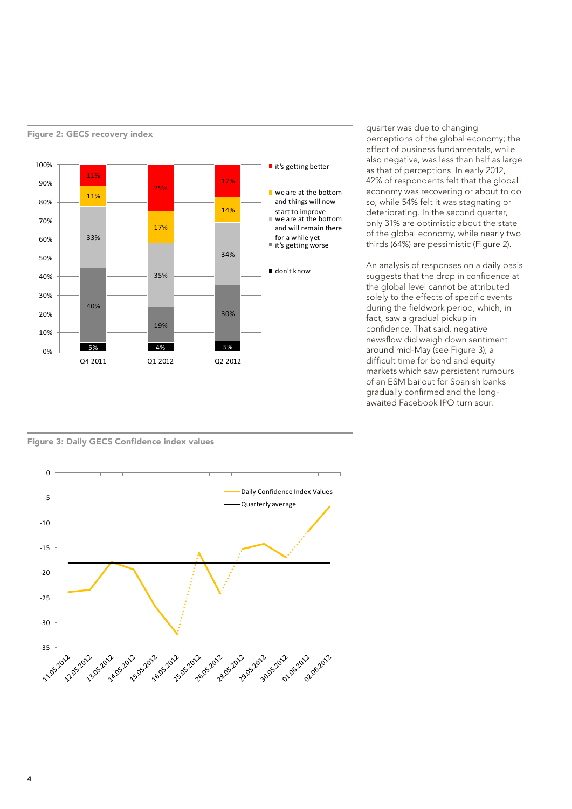

quarter was due to changing perceptions of the global economy; the effect of business fundamentals, while also negative, was less than half as large as that of perceptions. In early 2012, 42% of respondents felt that the global economy was recovering or about to do so, while 54% felt it was stagnating or deteriorating. In the second quarter, only 31% are optimistic about the state of the global economy, while nearly two thirds (64%) are pessimistic (Figure 2).

An analysis of responses on a daily basis suggests that the drop in confidence at the global level cannot be attributed solely to the effects of specific events during the fieldwork period, which, in fact, saw a gradual pickup in confidence. That said, negative newsflow did weigh down sentiment around mid-May (see Figure 3), a difficult time for bond and equity markets which saw persistent rumours of an ESM bailout for Spanish banks gradually confirmed and the longawaited Facebook IPO turn sour.

Figure 3: Daily GECS Confidence index values

Figure 2: GECS recovery index

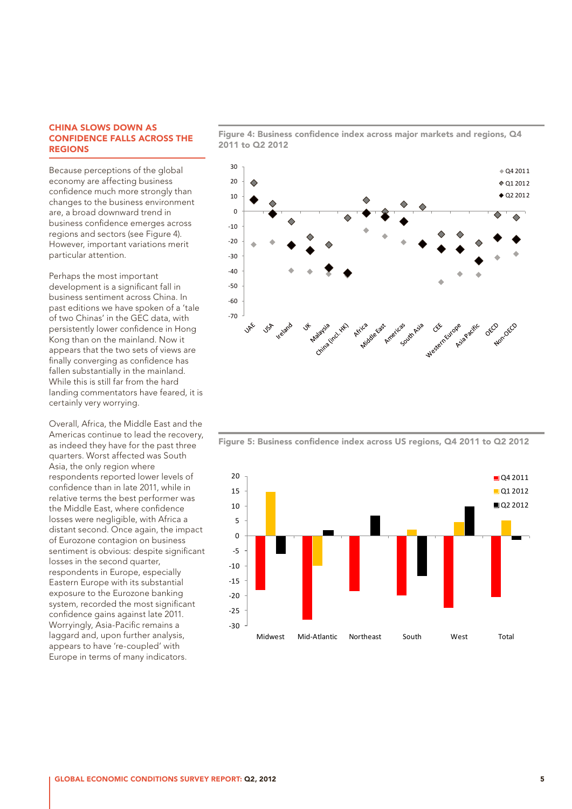#### CHINA SLOWS DOWN AS CONFIDENCE FALLS ACROSS THE REGIONS

Because perceptions of the global economy are affecting business confidence much more strongly than changes to the business environment are, a broad downward trend in business confidence emerges across regions and sectors (see Figure 4). However, important variations merit particular attention.

Perhaps the most important development is a significant fall in business sentiment across China. In past editions we have spoken of a 'tale of two Chinas' in the GEC data, with persistently lower confidence in Hong Kong than on the mainland. Now it appears that the two sets of views are finally converging as confidence has fallen substantially in the mainland. While this is still far from the hard landing commentators have feared, it is certainly very worrying.

Overall, Africa, the Middle East and the Americas continue to lead the recovery, as indeed they have for the past three quarters. Worst affected was South Asia, the only region where respondents reported lower levels of confidence than in late 2011, while in relative terms the best performer was the Middle East, where confidence losses were negligible, with Africa a distant second. Once again, the impact of Eurozone contagion on business sentiment is obvious: despite significant losses in the second quarter, respondents in Europe, especially Eastern Europe with its substantial exposure to the Eurozone banking system, recorded the most significant confidence gains against late 2011. Worryingly, Asia-Pacific remains a laggard and, upon further analysis, appears to have 're-coupled' with Europe in terms of many indicators.

Figure 4: Business confidence index across major markets and regions, Q4 2011 to Q2 2012



Figure 5: Business confidence index across US regions, Q4 2011 to Q2 2012

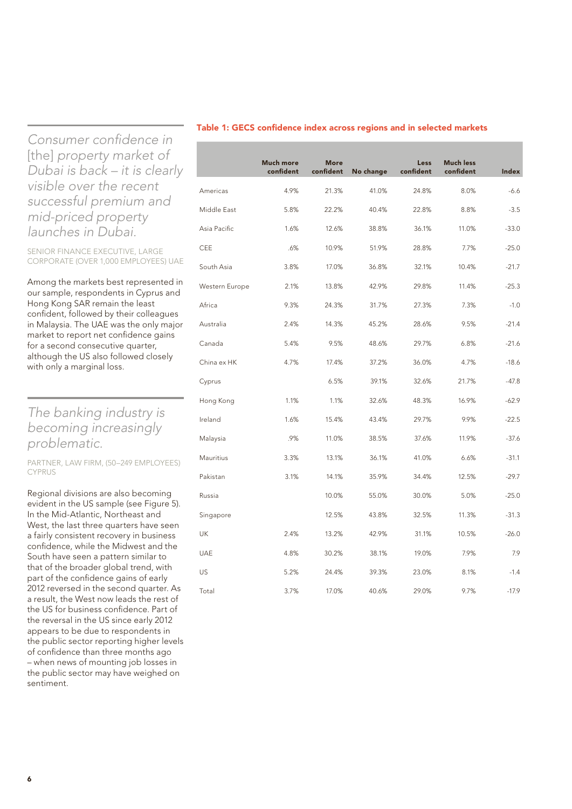*Consumer confidence in*  [the] *property market of Dubai is back – it is clearly visible over the recent successful premium and mid-priced property launches in Dubai.*

SENIOR FINANCE EXECUTIVE, LARGE CORPORATE (OVER 1,000 EMPLOYEES) UAE

Among the markets best represented in our sample, respondents in Cyprus and Hong Kong SAR remain the least confident, followed by their colleagues in Malaysia. The UAE was the only major market to report net confidence gains for a second consecutive quarter, although the US also followed closely with only a marginal loss.

## *The banking industry is becoming increasingly problematic.*

#### PARTNER, LAW FIRM, (50–249 EMPLOYEES) CYPRUS

Regional divisions are also becoming evident in the US sample (see Figure 5). In the Mid-Atlantic, Northeast and West, the last three quarters have seen a fairly consistent recovery in business confidence, while the Midwest and the South have seen a pattern similar to that of the broader global trend, with part of the confidence gains of early 2012 reversed in the second quarter. As a result, the West now leads the rest of the US for business confidence. Part of the reversal in the US since early 2012 appears to be due to respondents in the public sector reporting higher levels of confidence than three months ago – when news of mounting job losses in the public sector may have weighed on sentiment.

#### Table 1: GECS confidence index across regions and in selected markets

|                | <b>Much more</b><br>confident | <b>More</b><br>confident | No change | Less<br>confident | <b>Much less</b><br>confident | Index   |
|----------------|-------------------------------|--------------------------|-----------|-------------------|-------------------------------|---------|
| Americas       | 4.9%                          | 21.3%                    | 41.0%     | 24.8%             | 8.0%                          | $-6.6$  |
| Middle East    | 5.8%                          | 22.2%                    | 40.4%     | 22.8%             | 8.8%                          | $-3.5$  |
| Asia Pacific   | 1.6%                          | 12.6%                    | 38.8%     | 36.1%             | 11.0%                         | $-33.0$ |
| CEE            | .6%                           | 10.9%                    | 51.9%     | 28.8%             | 7.7%                          | $-25.0$ |
| South Asia     | 3.8%                          | 17.0%                    | 36.8%     | 32.1%             | 10.4%                         | $-21.7$ |
| Western Europe | 2.1%                          | 13.8%                    | 42.9%     | 29.8%             | 11.4%                         | $-25.3$ |
| Africa         | 9.3%                          | 24.3%                    | 31.7%     | 27.3%             | 7.3%                          | $-1.0$  |
| Australia      | 2.4%                          | 14.3%                    | 45.2%     | 28.6%             | 9.5%                          | $-21.4$ |
| Canada         | 5.4%                          | 9.5%                     | 48.6%     | 29.7%             | 6.8%                          | $-21.6$ |
| China ex HK    | 4.7%                          | 17.4%                    | 37.2%     | 36.0%             | 4.7%                          | $-18.6$ |
| Cyprus         |                               | 6.5%                     | 39.1%     | 32.6%             | 21.7%                         | $-47.8$ |
| Hong Kong      | 1.1%                          | 1.1%                     | 32.6%     | 48.3%             | 16.9%                         | $-62.9$ |
| Ireland        | 1.6%                          | 15.4%                    | 43.4%     | 29.7%             | 9.9%                          | $-22.5$ |
| Malaysia       | .9%                           | 11.0%                    | 38.5%     | 37.6%             | 11.9%                         | $-37.6$ |
| Mauritius      | 3.3%                          | 13.1%                    | 36.1%     | 41.0%             | 6.6%                          | $-31.1$ |
| Pakistan       | 3.1%                          | 14.1%                    | 35.9%     | 34.4%             | 12.5%                         | $-29.7$ |
| Russia         |                               | 10.0%                    | 55.0%     | 30.0%             | 5.0%                          | $-25.0$ |
| Singapore      |                               | 12.5%                    | 43.8%     | 32.5%             | 11.3%                         | $-31.3$ |
| <b>UK</b>      | 2.4%                          | 13.2%                    | 42.9%     | 31.1%             | 10.5%                         | $-26.0$ |
| <b>UAE</b>     | 4.8%                          | 30.2%                    | 38.1%     | 19.0%             | 7.9%                          | 7.9     |
| US             | 5.2%                          | 24.4%                    | 39.3%     | 23.0%             | 8.1%                          | $-1.4$  |
| Total          | 3.7%                          | 17.0%                    | 40.6%     | 29.0%             | 9.7%                          | $-17.9$ |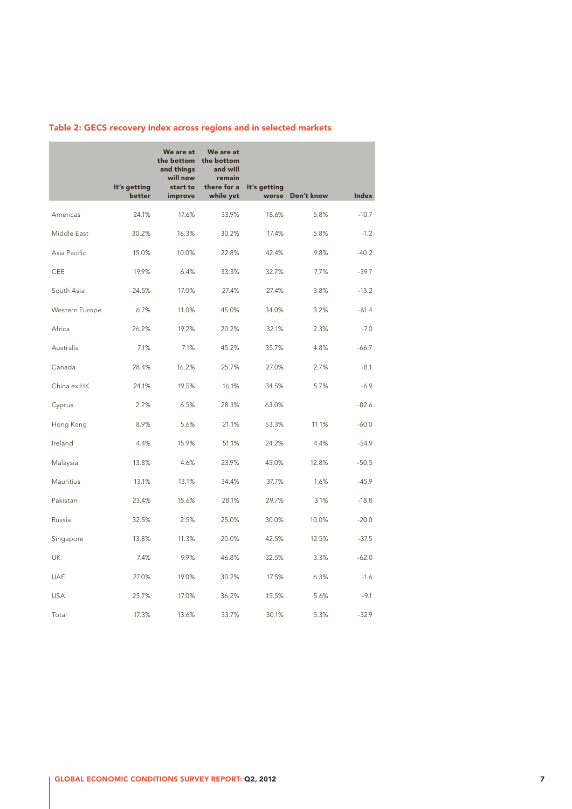|                | It's getting | We are at<br>the bottom<br>and things<br>will now<br>start to | We are at<br>the bottom<br>and will<br>remain<br>there for a | It's getting |            |         |
|----------------|--------------|---------------------------------------------------------------|--------------------------------------------------------------|--------------|------------|---------|
|                | better       | improve                                                       | while yet                                                    | worse        | Don't know | Index   |
| Americas       | 24.1%        | 17.6%                                                         | 33.9%                                                        | 18.6%        | 5.8%       | $-10.7$ |
| Middle East    | 30.2%        | 16.3%                                                         | 30.2%                                                        | 17.4%        | 5.8%       | $-1.2$  |
| Asia Pacific   | 15.0%        | 10.0%                                                         | 22.8%                                                        | 42.4%        | 9.8%       | $-40.2$ |
| CEE            | 19.9%        | 6.4%                                                          | 33.3%                                                        | 32.7%        | 7.7%       | $-39.7$ |
| South Asia     | 24.5%        | 17.0%                                                         | 27.4%                                                        | 27.4%        | 3.8%       | $-13.2$ |
| Western Europe | 6.7%         | 11.0%                                                         | 45.0%                                                        | 34.0%        | 3.2%       | $-61.4$ |
| Africa         | 26.2%        | 19.2%                                                         | 20.2%                                                        | 32.1%        | 2.3%       | $-7.0$  |
| Australia      | 7.1%         | 7.1%                                                          | 45.2%                                                        | 35.7%        | 4.8%       | $-66.7$ |
| Canada         | 28.4%        | 16.2%                                                         | 25.7%                                                        | 27.0%        | 2.7%       | $-8.1$  |
| China ex HK    | 24.1%        | 19.5%                                                         | 16.1%                                                        | 34.5%        | 5.7%       | $-6.9$  |
| Cyprus         | 2.2%         | 6.5%                                                          | 28.3%                                                        | 63.0%        |            | $-82.6$ |
| Hong Kong      | 8.9%         | 5.6%                                                          | 21.1%                                                        | 53.3%        | 11.1%      | $-60.0$ |
| Ireland        | 4.4%         | 15.9%                                                         | 51.1%                                                        | 24.2%        | 4.4%       | $-54.9$ |
| Malaysia       | 13.8%        | 4.6%                                                          | 23.9%                                                        | 45.0%        | 12.8%      | $-50.5$ |
| Mauritius      | 13.1%        | 13.1%                                                         | 34.4%                                                        | 37.7%        | 1.6%       | $-45.9$ |
| Pakistan       | 23.4%        | 15.6%                                                         | 28.1%                                                        | 29.7%        | 3.1%       | $-18.8$ |
| Russia         | 32.5%        | 2.5%                                                          | 25.0%                                                        | 30.0%        | 10.0%      | $-20.0$ |
| Singapore      | 13.8%        | 11.3%                                                         | 20.0%                                                        | 42.5%        | 12.5%      | $-37.5$ |
| UK             | 7.4%         | 9.9%                                                          | 46.8%                                                        | 32.5%        | 3.3%       | $-62.0$ |
| <b>UAE</b>     | 27.0%        | 19.0%                                                         | 30.2%                                                        | 17.5%        | 6.3%       | $-1.6$  |
| <b>USA</b>     | 25.7%        | 17.0%                                                         | 36.2%                                                        | 15.5%        | 5.6%       | $-9.1$  |
| Total          | 17.3%        | 13.6%                                                         | 33.7%                                                        | 30.1%        | 5.3%       | $-32.9$ |

## Table 2: GECS recovery index across regions and in selected markets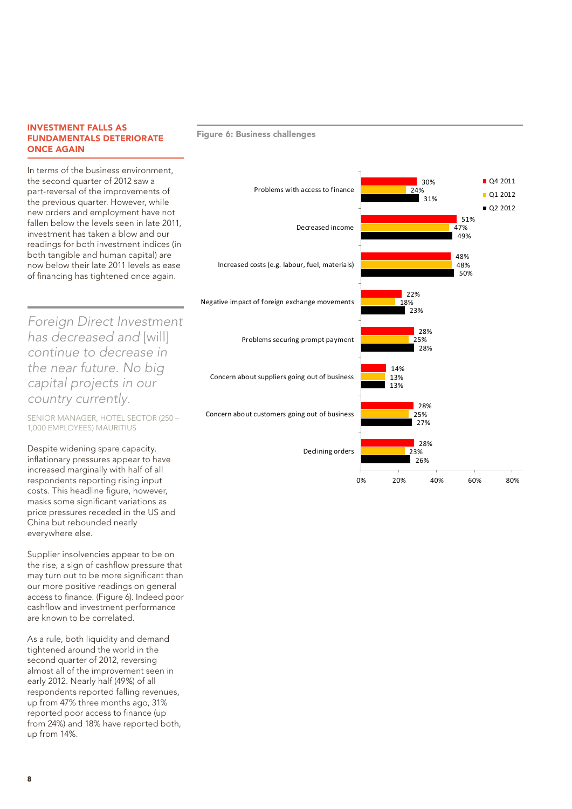#### INVESTMENT FALLS AS FUNDAMENTALS DETERIORATE ONCE AGAIN

In terms of the business environment, the second quarter of 2012 saw a part-reversal of the improvements of the previous quarter. However, while new orders and employment have not fallen below the levels seen in late 2011, investment has taken a blow and our readings for both investment indices (in both tangible and human capital) are now below their late 2011 levels as ease of financing has tightened once again.

*Foreign Direct Investment has decreased and* [will] *continue to decrease in the near future. No big capital projects in our country currently.*

SENIOR MANAGER, HOTEL SECTOR (250 – 1,000 EMPLOYEES) MAURITIUS

Despite widening spare capacity, inflationary pressures appear to have increased marginally with half of all respondents reporting rising input costs. This headline figure, however, masks some significant variations as price pressures receded in the US and China but rebounded nearly everywhere else.

Supplier insolvencies appear to be on the rise, a sign of cashflow pressure that may turn out to be more significant than our more positive readings on general access to finance. (Figure 6). Indeed poor cashflow and investment performance are known to be correlated.

As a rule, both liquidity and demand tightened around the world in the second quarter of 2012, reversing almost all of the improvement seen in early 2012. Nearly half (49%) of all respondents reported falling revenues, up from 47% three months ago, 31% reported poor access to finance (up from 24%) and 18% have reported both, up from 14%.

#### Figure 6: Business challenges

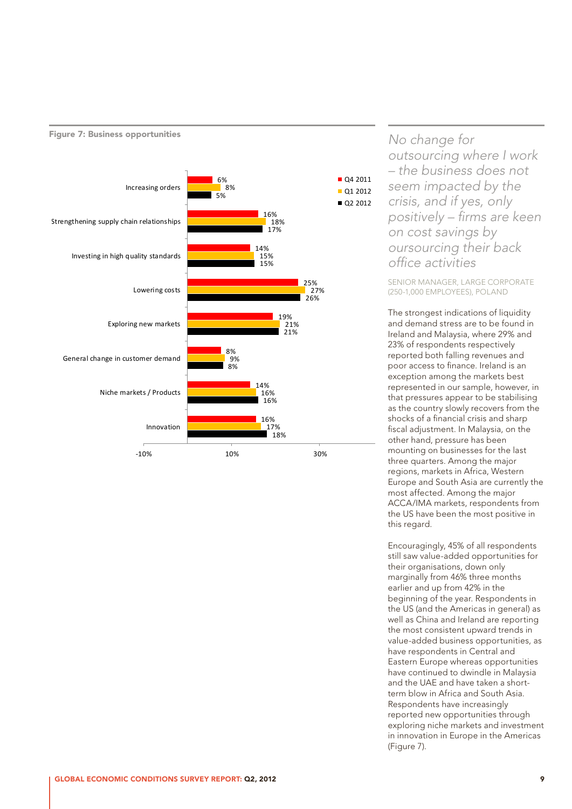

#### Figure 7: Business opportunities

*No change for outsourcing where I work – the business does not seem impacted by the crisis, and if yes, only positively – firms are keen on cost savings by oursourcing their back office activities*

SENIOR MANAGER, LARGE CORPORATE (250-1,000 EMPLOYEES), POLAND

The strongest indications of liquidity and demand stress are to be found in Ireland and Malaysia, where 29% and 23% of respondents respectively reported both falling revenues and poor access to finance. Ireland is an exception among the markets best represented in our sample, however, in that pressures appear to be stabilising as the country slowly recovers from the shocks of a financial crisis and sharp fiscal adjustment. In Malaysia, on the other hand, pressure has been mounting on businesses for the last three quarters. Among the major regions, markets in Africa, Western Europe and South Asia are currently the most affected. Among the major ACCA/IMA markets, respondents from the US have been the most positive in this regard.

Encouragingly, 45% of all respondents still saw value-added opportunities for their organisations, down only marginally from 46% three months earlier and up from 42% in the beginning of the year. Respondents in the US (and the Americas in general) as well as China and Ireland are reporting the most consistent upward trends in value-added business opportunities, as have respondents in Central and Eastern Europe whereas opportunities have continued to dwindle in Malaysia and the UAE and have taken a shortterm blow in Africa and South Asia. Respondents have increasingly reported new opportunities through exploring niche markets and investment in innovation in Europe in the Americas (Figure 7).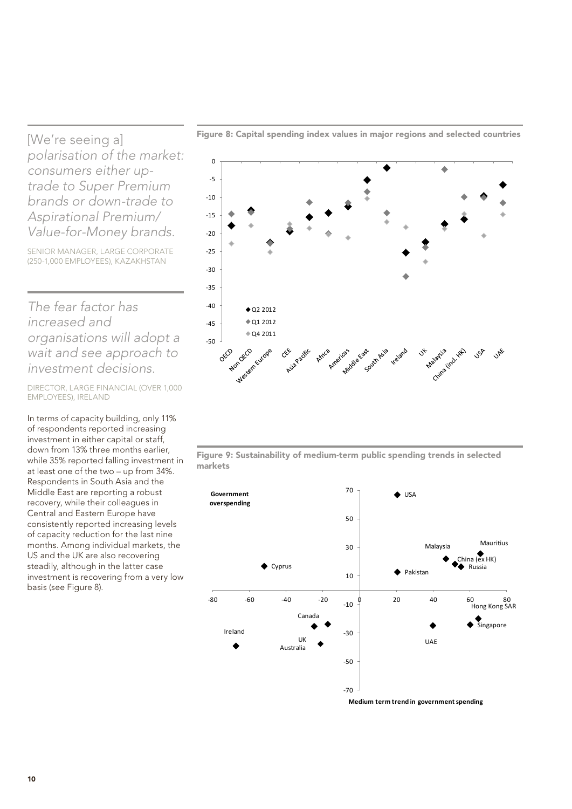[We're seeing a] *polarisation of the market: consumers either uptrade to Super Premium brands or down-trade to Aspirational Premium/ Value-for-Money brands.*

SENIOR MANAGER, LARGE CORPORATE (250-1,000 EMPLOYEES), KAZAKHSTAN

*The fear factor has increased and organisations will adopt a wait and see approach to investment decisions.*

DIRECTOR, LARGE FINANCIAL (OVER 1,000 EMPLOYEES), IRELAND

In terms of capacity building, only 11% of respondents reported increasing investment in either capital or staff, down from 13% three months earlier, while 35% reported falling investment in at least one of the two – up from 34%. Respondents in South Asia and the Middle East are reporting a robust recovery, while their colleagues in Central and Eastern Europe have consistently reported increasing levels of capacity reduction for the last nine months. Among individual markets, the US and the UK are also recovering steadily, although in the latter case investment is recovering from a very low basis (see Figure 8).



Figure 8: Capital spending index values in major regions and selected countries

Figure 9: Sustainability of medium-term public spending trends in selected markets

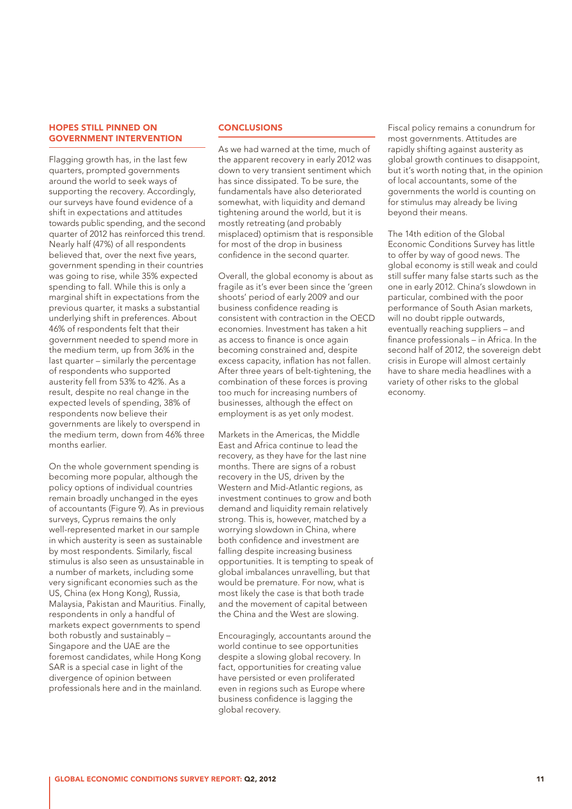#### HOPES STILL PINNED ON GOVERNMENT INTERVENTION

Flagging growth has, in the last few quarters, prompted governments around the world to seek ways of supporting the recovery. Accordingly, our surveys have found evidence of a shift in expectations and attitudes towards public spending, and the second quarter of 2012 has reinforced this trend. Nearly half (47%) of all respondents believed that, over the next five years, government spending in their countries was going to rise, while 35% expected spending to fall. While this is only a marginal shift in expectations from the previous quarter, it masks a substantial underlying shift in preferences. About 46% of respondents felt that their government needed to spend more in the medium term, up from 36% in the last quarter – similarly the percentage of respondents who supported austerity fell from 53% to 42%. As a result, despite no real change in the expected levels of spending, 38% of respondents now believe their governments are likely to overspend in the medium term, down from 46% three months earlier.

On the whole government spending is becoming more popular, although the policy options of individual countries remain broadly unchanged in the eyes of accountants (Figure 9). As in previous surveys, Cyprus remains the only well-represented market in our sample in which austerity is seen as sustainable by most respondents. Similarly, fiscal stimulus is also seen as unsustainable in a number of markets, including some very significant economies such as the US, China (ex Hong Kong), Russia, Malaysia, Pakistan and Mauritius. Finally, respondents in only a handful of markets expect governments to spend both robustly and sustainably – Singapore and the UAE are the foremost candidates, while Hong Kong SAR is a special case in light of the divergence of opinion between professionals here and in the mainland.

#### **CONCLUSIONS**

As we had warned at the time, much of the apparent recovery in early 2012 was down to very transient sentiment which has since dissipated. To be sure, the fundamentals have also deteriorated somewhat, with liquidity and demand tightening around the world, but it is mostly retreating (and probably misplaced) optimism that is responsible for most of the drop in business confidence in the second quarter.

Overall, the global economy is about as fragile as it's ever been since the 'green shoots' period of early 2009 and our business confidence reading is consistent with contraction in the OECD economies. Investment has taken a hit as access to finance is once again becoming constrained and, despite excess capacity, inflation has not fallen. After three years of belt-tightening, the combination of these forces is proving too much for increasing numbers of businesses, although the effect on employment is as yet only modest.

Markets in the Americas, the Middle East and Africa continue to lead the recovery, as they have for the last nine months. There are signs of a robust recovery in the US, driven by the Western and Mid-Atlantic regions, as investment continues to grow and both demand and liquidity remain relatively strong. This is, however, matched by a worrying slowdown in China, where both confidence and investment are falling despite increasing business opportunities. It is tempting to speak of global imbalances unravelling, but that would be premature. For now, what is most likely the case is that both trade and the movement of capital between the China and the West are slowing.

Encouragingly, accountants around the world continue to see opportunities despite a slowing global recovery. In fact, opportunities for creating value have persisted or even proliferated even in regions such as Europe where business confidence is lagging the global recovery.

Fiscal policy remains a conundrum for most governments. Attitudes are rapidly shifting against austerity as global growth continues to disappoint, but it's worth noting that, in the opinion of local accountants, some of the governments the world is counting on for stimulus may already be living beyond their means.

The 14th edition of the Global Economic Conditions Survey has little to offer by way of good news. The global economy is still weak and could still suffer many false starts such as the one in early 2012. China's slowdown in particular, combined with the poor performance of South Asian markets, will no doubt ripple outwards, eventually reaching suppliers – and finance professionals – in Africa. In the second half of 2012, the sovereign debt crisis in Europe will almost certainly have to share media headlines with a variety of other risks to the global economy.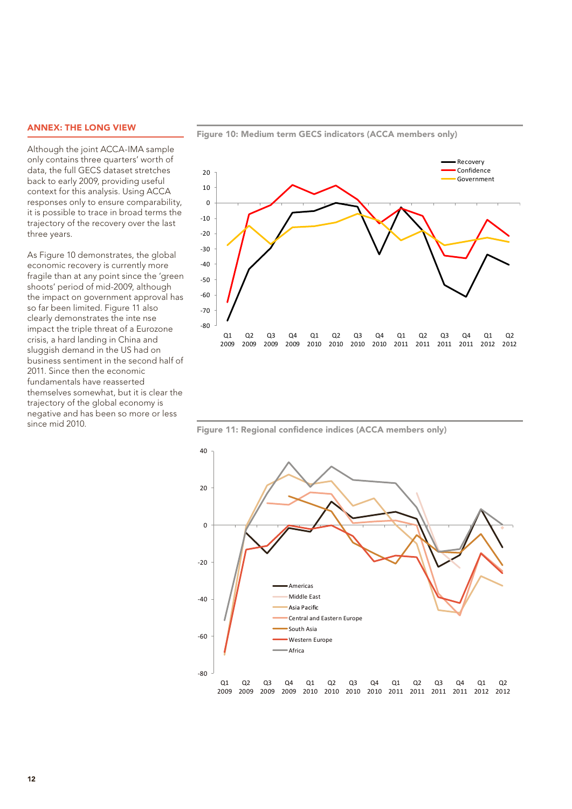#### ANNEX: THE LONG VIEW

Although the joint ACCA-IMA sample only contains three quarters' worth of data, the full GECS dataset stretches back to early 2009, providing useful context for this analysis. Using ACCA responses only to ensure comparability, it is possible to trace in broad terms the trajectory of the recovery over the last three years.

As Figure 10 demonstrates, the global economic recovery is currently more fragile than at any point since the 'green shoots' period of mid-2009, although the impact on government approval has so far been limited. Figure 11 also clearly demonstrates the inte nse impact the triple threat of a Eurozone crisis, a hard landing in China and sluggish demand in the US had on business sentiment in the second half of 2011. Since then the economic fundamentals have reasserted themselves somewhat, but it is clear the trajectory of the global economy is negative and has been so more or less since mid 2010.



Figure 10: Medium term GECS indicators (ACCA members only)

Figure 11: Regional confidence indices (ACCA members only)

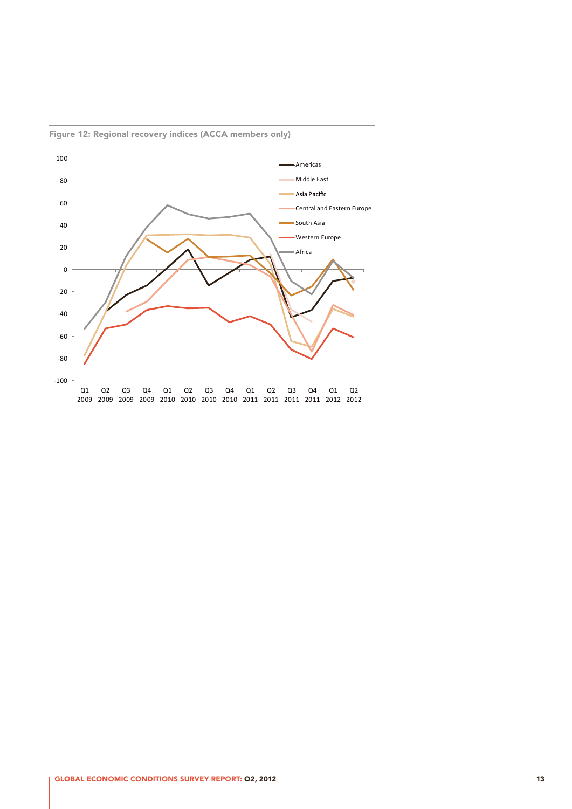

Figure 12: Regional recovery indices (ACCA members only)